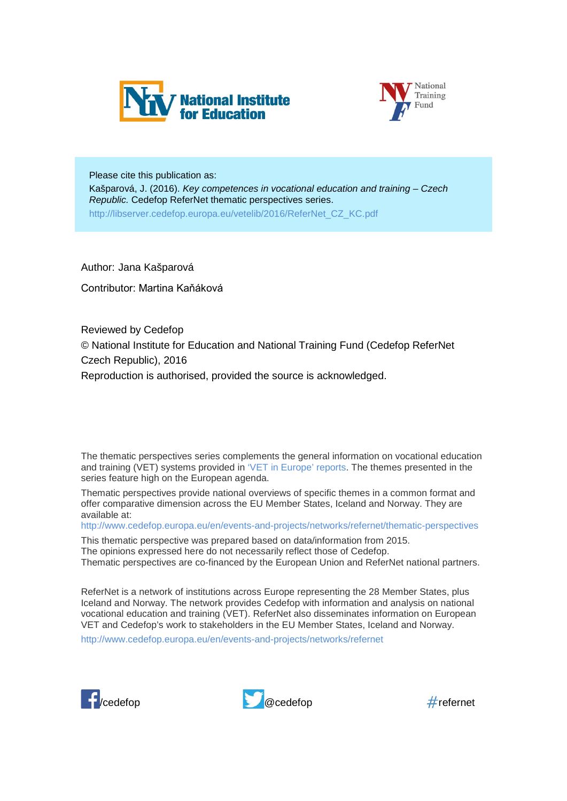



Please cite this publication as: Kašparová, J. (2016). *Key competences in vocational education and training – Czech Republic.* Cedefop ReferNet thematic perspectives series. http://libserver.cedefop.europa.eu/vetelib/2016/ReferNet\_CZ\_KC.pdf

Author: Jana Kašparová

Contributor: Martina Kaňáková

Reviewed by Cedefop © National Institute for Education and National Training Fund (Cedefop ReferNet Czech Republic), 2016 Reproduction is authorised, provided the source is acknowledged.

The thematic perspectives series complements the general information on vocational education and training (VET) systems provided in ['VET in Europe' reports.](http://www.cedefop.europa.eu/en/publications-and-resources/country-reports/vet-in-europe-country-reports) The themes presented in the series feature high on the European agenda.

Thematic perspectives provide national overviews of specific themes in a common format and offer comparative dimension across the EU Member States, Iceland and Norway. They are available at:

<http://www.cedefop.europa.eu/en/events-and-projects/networks/refernet/thematic-perspectives>

This thematic perspective was prepared based on data/information from 2015. The opinions expressed here do not necessarily reflect those of Cedefop. Thematic perspectives are co-financed by the European Union and ReferNet national partners.

ReferNet is a network of institutions across Europe representing the 28 Member States, plus Iceland and Norway. The network provides Cedefop with information and analysis on national vocational education and training (VET). ReferNet also disseminates information on European VET and Cedefop's work to stakeholders in the EU Member States, Iceland and Norway.

<http://www.cedefop.europa.eu/en/events-and-projects/networks/refernet>





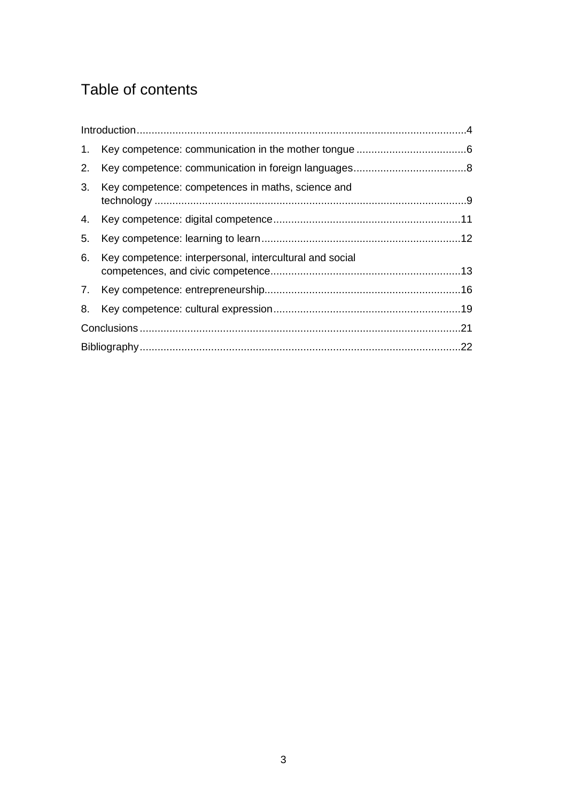# Table of contents

| 2. |                                                         |  |
|----|---------------------------------------------------------|--|
| 3. | Key competence: competences in maths, science and       |  |
|    |                                                         |  |
| 5. |                                                         |  |
| 6. | Key competence: interpersonal, intercultural and social |  |
|    |                                                         |  |
| 8. |                                                         |  |
|    |                                                         |  |
|    |                                                         |  |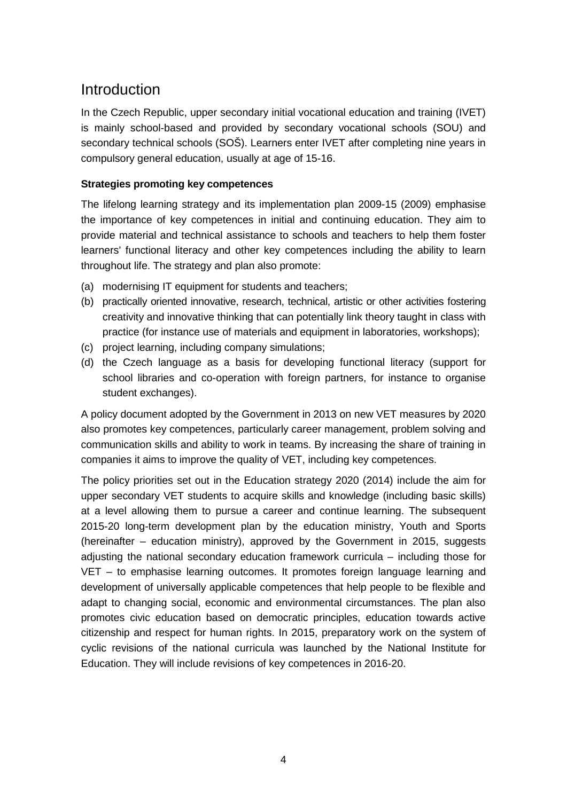### <span id="page-2-0"></span>Introduction

In the Czech Republic, upper secondary initial vocational education and training (IVET) is mainly school-based and provided by secondary vocational schools (SOU) and secondary technical schools (SOŠ). Learners enter IVET after completing nine years in compulsory general education, usually at age of 15-16.

#### **Strategies promoting key competences**

The lifelong learning strategy and its implementation plan 2009-15 (2009) emphasise the importance of key competences in initial and continuing education. They aim to provide material and technical assistance to schools and teachers to help them foster learners' functional literacy and other key competences including the ability to learn throughout life. The strategy and plan also promote:

- (a) modernising IT equipment for students and teachers;
- (b) practically oriented innovative, research, technical, artistic or other activities fostering creativity and innovative thinking that can potentially link theory taught in class with practice (for instance use of materials and equipment in laboratories, workshops);
- (c) project learning, including company simulations;
- (d) the Czech language as a basis for developing functional literacy (support for school libraries and co-operation with foreign partners, for instance to organise student exchanges).

A policy document adopted by the Government in 2013 on new VET measures by 2020 also promotes key competences, particularly career management, problem solving and communication skills and ability to work in teams. By increasing the share of training in companies it aims to improve the quality of VET, including key competences.

The policy priorities set out in the Education strategy 2020 (2014) include the aim for upper secondary VET students to acquire skills and knowledge (including basic skills) at a level allowing them to pursue a career and continue learning. The subsequent 2015-20 long-term development plan by the education ministry, Youth and Sports (hereinafter – education ministry), approved by the Government in 2015, suggests adjusting the national secondary education framework curricula – including those for VET – to emphasise learning outcomes. It promotes foreign language learning and development of universally applicable competences that help people to be flexible and adapt to changing social, economic and environmental circumstances. The plan also promotes civic education based on democratic principles, education towards active citizenship and respect for human rights. In 2015, preparatory work on the system of cyclic revisions of the national curricula was launched by the National Institute for Education. They will include revisions of key competences in 2016-20.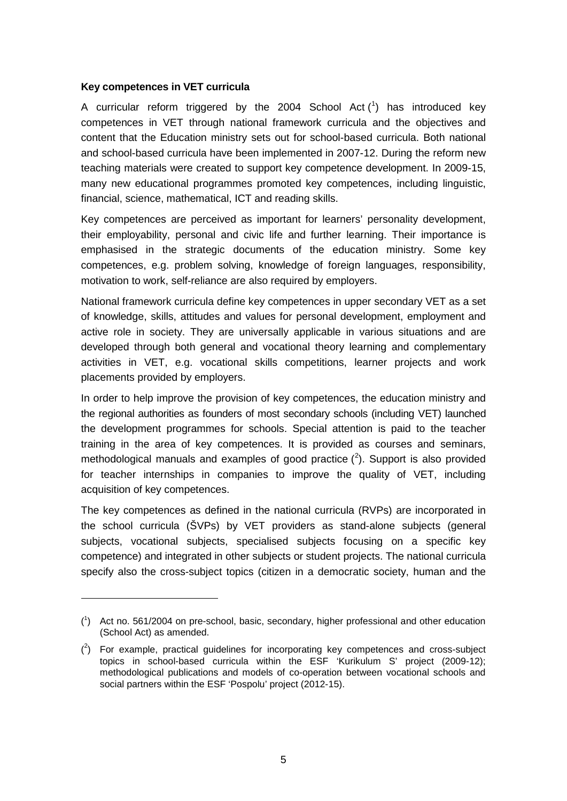#### **Key competences in VET curricula**

-

A curricular reform triggered by the 2004 School Act  $(1)$  $(1)$  $(1)$  has introduced key competences in VET through national framework curricula and the objectives and content that the Education ministry sets out for school-based curricula. Both national and school-based curricula have been implemented in 2007-12. During the reform new teaching materials were created to support key competence development. In 2009-15, many new educational programmes promoted key competences, including linguistic, financial, science, mathematical, ICT and reading skills.

Key competences are perceived as important for learners' personality development, their employability, personal and civic life and further learning. Their importance is emphasised in the strategic documents of the education ministry. Some key competences, e.g. problem solving, knowledge of foreign languages, responsibility, motivation to work, self-reliance are also required by employers.

National framework curricula define key competences in upper secondary VET as a set of knowledge, skills, attitudes and values for personal development, employment and active role in society. They are universally applicable in various situations and are developed through both general and vocational theory learning and complementary activities in VET, e.g. vocational skills competitions, learner projects and work placements provided by employers.

In order to help improve the provision of key competences, the education ministry and the regional authorities as founders of most secondary schools (including VET) launched the development programmes for schools. Special attention is paid to the teacher training in the area of key competences. It is provided as courses and seminars, methodological manuals and examples of good practice  $(^2)$  $(^2)$  $(^2)$ . Support is also provided for teacher internships in companies to improve the quality of VET, including acquisition of key competences.

The key competences as defined in the national curricula (RVPs) are incorporated in the school curricula (ŠVPs) by VET providers as stand-alone subjects (general subjects, vocational subjects, specialised subjects focusing on a specific key competence) and integrated in other subjects or student projects. The national curricula specify also the cross-subject topics (citizen in a democratic society, human and the

<span id="page-3-0"></span><sup>(</sup> 1 ) Act no. 561/2004 on pre-school, basic, secondary, higher professional and other education (School Act) as amended.

<span id="page-3-1"></span> $(2)$  For example, practical guidelines for incorporating key competences and cross-subject topics in school-based curricula within the ESF 'Kurikulum S' project (2009-12); methodological publications and models of co-operation between vocational schools and social partners within the ESF 'Pospolu' project (2012-15).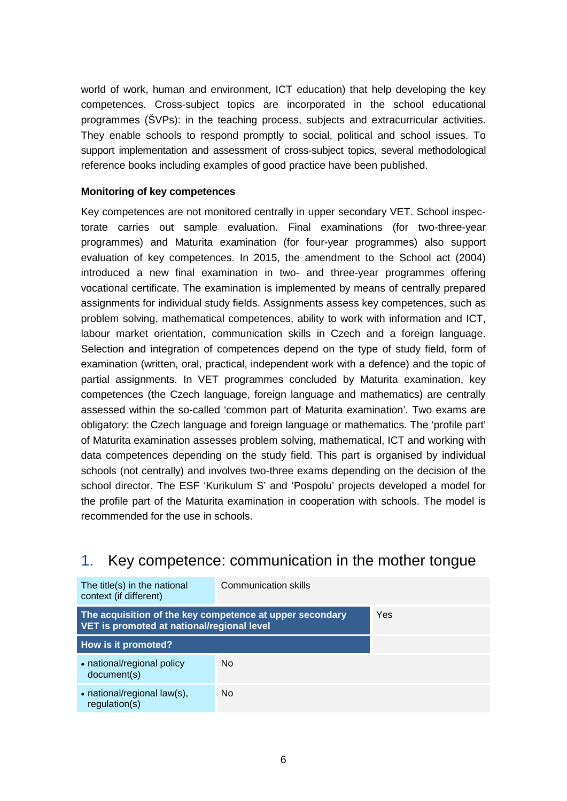world of work, human and environment, ICT education) that help developing the key competences. Cross-subject topics are incorporated in the school educational programmes (ŠVPs): in the teaching process, subjects and extracurricular activities. They enable schools to respond promptly to social, political and school issues. To support implementation and assessment of cross-subject topics, several methodological reference books including examples of good practice have been published.

#### **Monitoring of key competences**

Key competences are not monitored centrally in upper secondary VET. School inspectorate carries out sample evaluation. Final examinations (for two-three-year programmes) and Maturita examination (for four-year programmes) also support evaluation of key competences. In 2015, the amendment to the School act (2004) introduced a new final examination in two- and three-year programmes offering vocational certificate. The examination is implemented by means of centrally prepared assignments for individual study fields. Assignments assess key competences, such as problem solving, mathematical competences, ability to work with information and ICT, labour market orientation, communication skills in Czech and a foreign language. Selection and integration of competences depend on the type of study field, form of examination (written, oral, practical, independent work with a defence) and the topic of partial assignments. In VET programmes concluded by Maturita examination, key competences (the Czech language, foreign language and mathematics) are centrally assessed within the so-called 'common part of Maturita examination'. Two exams are obligatory: the Czech language and foreign language or mathematics. The 'profile part' of Maturita examination assesses problem solving, mathematical, ICT and working with data competences depending on the study field. This part is organised by individual schools (not centrally) and involves two-three exams depending on the decision of the school director. The ESF 'Kurikulum S' and 'Pospolu' projects developed a model for the profile part of the Maturita examination in cooperation with schools. The model is recommended for the use in schools.

### <span id="page-4-0"></span>1. Key competence: communication in the mother tongue

| The title(s) in the national<br>context (if different)                                                 | Communication skills |     |
|--------------------------------------------------------------------------------------------------------|----------------------|-----|
| The acquisition of the key competence at upper secondary<br>VET is promoted at national/regional level |                      | Yes |
| How is it promoted?                                                                                    |                      |     |
| • national/regional policy<br>document(s)                                                              | N <sub>0</sub>       |     |
| • national/regional law(s),<br>regularion(s)                                                           | N <sub>0</sub>       |     |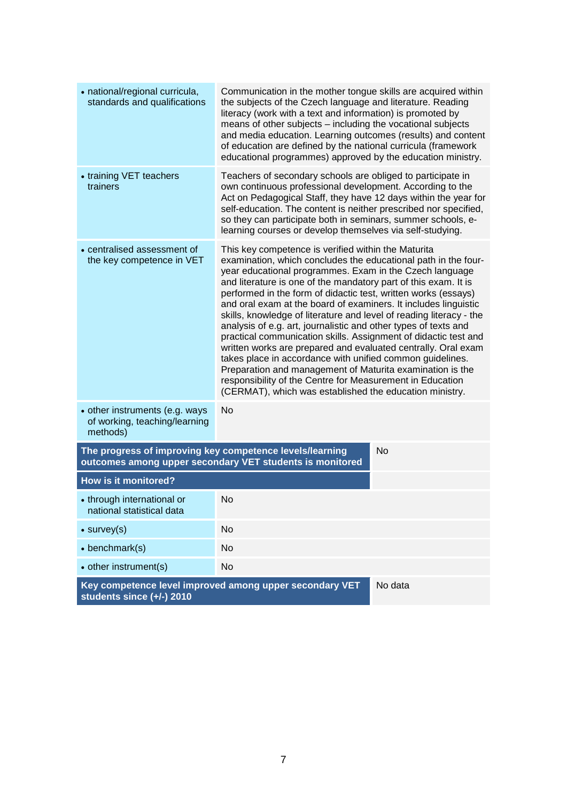<span id="page-5-0"></span>

| • national/regional curricula,<br>standards and qualifications                                                                    | Communication in the mother tongue skills are acquired within<br>the subjects of the Czech language and literature. Reading<br>literacy (work with a text and information) is promoted by<br>means of other subjects - including the vocational subjects<br>and media education. Learning outcomes (results) and content<br>of education are defined by the national curricula (framework<br>educational programmes) approved by the education ministry.                                                                                                                                                                                                                                                                                                                                                                                                                                                                 |  |
|-----------------------------------------------------------------------------------------------------------------------------------|--------------------------------------------------------------------------------------------------------------------------------------------------------------------------------------------------------------------------------------------------------------------------------------------------------------------------------------------------------------------------------------------------------------------------------------------------------------------------------------------------------------------------------------------------------------------------------------------------------------------------------------------------------------------------------------------------------------------------------------------------------------------------------------------------------------------------------------------------------------------------------------------------------------------------|--|
| • training VET teachers<br>trainers                                                                                               | Teachers of secondary schools are obliged to participate in<br>own continuous professional development. According to the<br>Act on Pedagogical Staff, they have 12 days within the year for<br>self-education. The content is neither prescribed nor specified,<br>so they can participate both in seminars, summer schools, e-<br>learning courses or develop themselves via self-studying.                                                                                                                                                                                                                                                                                                                                                                                                                                                                                                                             |  |
| • centralised assessment of<br>the key competence in VET                                                                          | This key competence is verified within the Maturita<br>examination, which concludes the educational path in the four-<br>year educational programmes. Exam in the Czech language<br>and literature is one of the mandatory part of this exam. It is<br>performed in the form of didactic test, written works (essays)<br>and oral exam at the board of examiners. It includes linguistic<br>skills, knowledge of literature and level of reading literacy - the<br>analysis of e.g. art, journalistic and other types of texts and<br>practical communication skills. Assignment of didactic test and<br>written works are prepared and evaluated centrally. Oral exam<br>takes place in accordance with unified common guidelines.<br>Preparation and management of Maturita examination is the<br>responsibility of the Centre for Measurement in Education<br>(CERMAT), which was established the education ministry. |  |
| • other instruments (e.g. ways<br>of working, teaching/learning<br>methods)                                                       | <b>No</b>                                                                                                                                                                                                                                                                                                                                                                                                                                                                                                                                                                                                                                                                                                                                                                                                                                                                                                                |  |
| The progress of improving key competence levels/learning<br><b>No</b><br>outcomes among upper secondary VET students is monitored |                                                                                                                                                                                                                                                                                                                                                                                                                                                                                                                                                                                                                                                                                                                                                                                                                                                                                                                          |  |
| How is it monitored?                                                                                                              |                                                                                                                                                                                                                                                                                                                                                                                                                                                                                                                                                                                                                                                                                                                                                                                                                                                                                                                          |  |
| • through international or<br>national statistical data                                                                           | No                                                                                                                                                                                                                                                                                                                                                                                                                                                                                                                                                                                                                                                                                                                                                                                                                                                                                                                       |  |
| $\bullet$ survey(s)                                                                                                               | No                                                                                                                                                                                                                                                                                                                                                                                                                                                                                                                                                                                                                                                                                                                                                                                                                                                                                                                       |  |
| $\bullet$ benchmark(s)                                                                                                            | No                                                                                                                                                                                                                                                                                                                                                                                                                                                                                                                                                                                                                                                                                                                                                                                                                                                                                                                       |  |
| • other instrument(s)                                                                                                             | <b>No</b>                                                                                                                                                                                                                                                                                                                                                                                                                                                                                                                                                                                                                                                                                                                                                                                                                                                                                                                |  |
| Key competence level improved among upper secondary VET<br>No data<br>students since (+/-) 2010                                   |                                                                                                                                                                                                                                                                                                                                                                                                                                                                                                                                                                                                                                                                                                                                                                                                                                                                                                                          |  |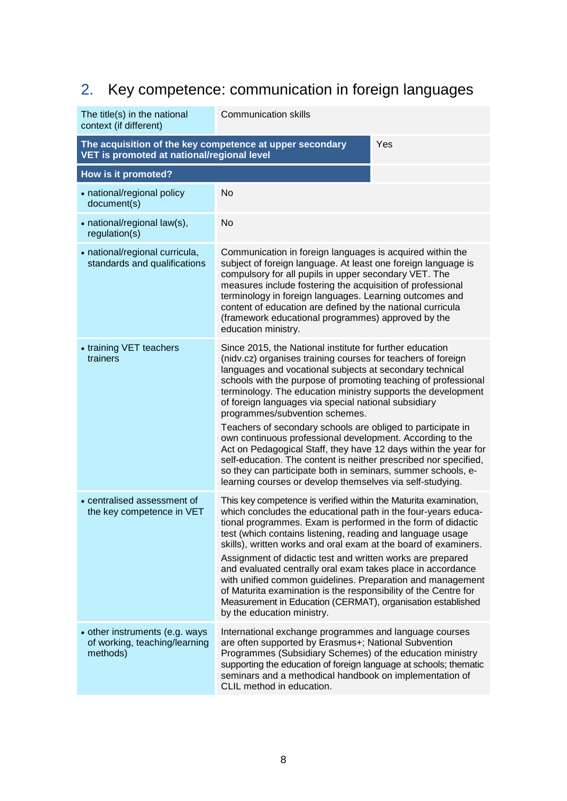# 2. Key competence: communication in foreign languages

| The title(s) in the national<br>context (if different)                                                        | <b>Communication skills</b>                                                                                                                                                                                                                                                                                                                                                                                                                                                                                                                                                                                                                                                                                                                                                                                      |  |  |
|---------------------------------------------------------------------------------------------------------------|------------------------------------------------------------------------------------------------------------------------------------------------------------------------------------------------------------------------------------------------------------------------------------------------------------------------------------------------------------------------------------------------------------------------------------------------------------------------------------------------------------------------------------------------------------------------------------------------------------------------------------------------------------------------------------------------------------------------------------------------------------------------------------------------------------------|--|--|
| The acquisition of the key competence at upper secondary<br>Yes<br>VET is promoted at national/regional level |                                                                                                                                                                                                                                                                                                                                                                                                                                                                                                                                                                                                                                                                                                                                                                                                                  |  |  |
| How is it promoted?                                                                                           |                                                                                                                                                                                                                                                                                                                                                                                                                                                                                                                                                                                                                                                                                                                                                                                                                  |  |  |
| • national/regional policy<br>document(s)                                                                     | No                                                                                                                                                                                                                                                                                                                                                                                                                                                                                                                                                                                                                                                                                                                                                                                                               |  |  |
| • national/regional law(s),<br>regulation(s)                                                                  | <b>No</b>                                                                                                                                                                                                                                                                                                                                                                                                                                                                                                                                                                                                                                                                                                                                                                                                        |  |  |
| • national/regional curricula,<br>standards and qualifications                                                | Communication in foreign languages is acquired within the<br>subject of foreign language. At least one foreign language is<br>compulsory for all pupils in upper secondary VET. The<br>measures include fostering the acquisition of professional<br>terminology in foreign languages. Learning outcomes and<br>content of education are defined by the national curricula<br>(framework educational programmes) approved by the<br>education ministry.                                                                                                                                                                                                                                                                                                                                                          |  |  |
| • training VET teachers<br>trainers                                                                           | Since 2015, the National institute for further education<br>(nidv.cz) organises training courses for teachers of foreign<br>languages and vocational subjects at secondary technical<br>schools with the purpose of promoting teaching of professional<br>terminology. The education ministry supports the development<br>of foreign languages via special national subsidiary<br>programmes/subvention schemes.<br>Teachers of secondary schools are obliged to participate in<br>own continuous professional development. According to the<br>Act on Pedagogical Staff, they have 12 days within the year for<br>self-education. The content is neither prescribed nor specified,<br>so they can participate both in seminars, summer schools, e-<br>learning courses or develop themselves via self-studying. |  |  |
| • centralised assessment of<br>the key competence in VET                                                      | This key competence is verified within the Maturita examination,<br>which concludes the educational path in the four-years educa-<br>tional programmes. Exam is performed in the form of didactic<br>test (which contains listening, reading and language usage<br>skills), written works and oral exam at the board of examiners.<br>Assignment of didactic test and written works are prepared<br>and evaluated centrally oral exam takes place in accordance<br>with unified common guidelines. Preparation and management<br>of Maturita examination is the responsibility of the Centre for<br>Measurement in Education (CERMAT), organisation established<br>by the education ministry.                                                                                                                    |  |  |
| • other instruments (e.g. ways<br>of working, teaching/learning<br>methods)                                   | International exchange programmes and language courses<br>are often supported by Erasmus+; National Subvention<br>Programmes (Subsidiary Schemes) of the education ministry<br>supporting the education of foreign language at schools; thematic<br>seminars and a methodical handbook on implementation of<br>CLIL method in education.                                                                                                                                                                                                                                                                                                                                                                                                                                                                         |  |  |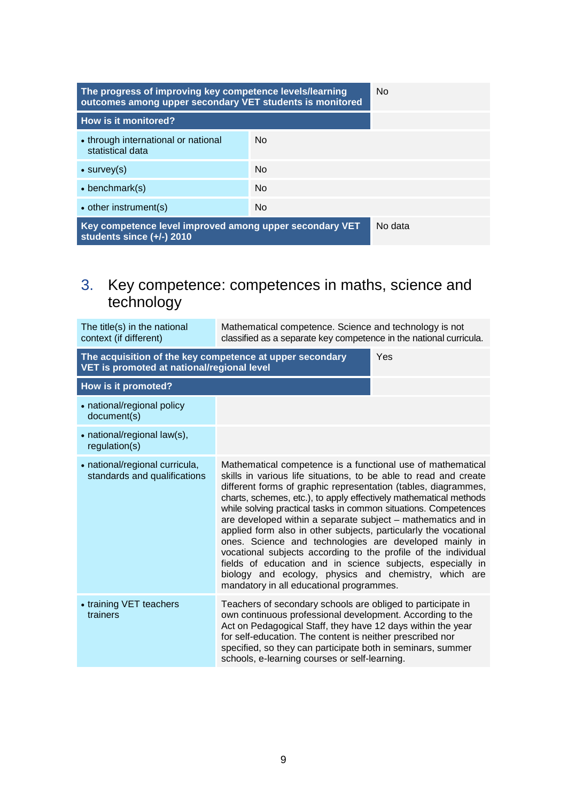| The progress of improving key competence levels/learning<br>outcomes among upper secondary VET students is monitored |                | N <sub>0</sub> |
|----------------------------------------------------------------------------------------------------------------------|----------------|----------------|
| How is it monitored?                                                                                                 |                |                |
| • through international or national<br>statistical data                                                              | N <sub>0</sub> |                |
| $\bullet$ survey(s)                                                                                                  | N <sub>0</sub> |                |
| $\bullet$ benchmark(s)                                                                                               | N <sub>0</sub> |                |
| • other instrument(s)                                                                                                | No.            |                |
| Key competence level improved among upper secondary VET<br>students since $(+/-)$ 2010                               |                | No data        |

### <span id="page-7-0"></span>3. Key competence: competences in maths, science and technology

| The title(s) in the national<br>context (if different)                                                 | Mathematical competence. Science and technology is not<br>classified as a separate key competence in the national curricula.                                                                                                                                                                                                                                                                                                                                                                                                                                                                                                                                                                                                                                                 |     |
|--------------------------------------------------------------------------------------------------------|------------------------------------------------------------------------------------------------------------------------------------------------------------------------------------------------------------------------------------------------------------------------------------------------------------------------------------------------------------------------------------------------------------------------------------------------------------------------------------------------------------------------------------------------------------------------------------------------------------------------------------------------------------------------------------------------------------------------------------------------------------------------------|-----|
| The acquisition of the key competence at upper secondary<br>VET is promoted at national/regional level |                                                                                                                                                                                                                                                                                                                                                                                                                                                                                                                                                                                                                                                                                                                                                                              | Yes |
| How is it promoted?                                                                                    |                                                                                                                                                                                                                                                                                                                                                                                                                                                                                                                                                                                                                                                                                                                                                                              |     |
| • national/regional policy<br>document(s)                                                              |                                                                                                                                                                                                                                                                                                                                                                                                                                                                                                                                                                                                                                                                                                                                                                              |     |
| • national/regional law(s),<br>regulation(s)                                                           |                                                                                                                                                                                                                                                                                                                                                                                                                                                                                                                                                                                                                                                                                                                                                                              |     |
| • national/regional curricula,<br>standards and qualifications                                         | Mathematical competence is a functional use of mathematical<br>skills in various life situations, to be able to read and create<br>different forms of graphic representation (tables, diagrammes,<br>charts, schemes, etc.), to apply effectively mathematical methods<br>while solving practical tasks in common situations. Competences<br>are developed within a separate subject – mathematics and in<br>applied form also in other subjects, particularly the vocational<br>ones. Science and technologies are developed mainly in<br>vocational subjects according to the profile of the individual<br>fields of education and in science subjects, especially in<br>biology and ecology, physics and chemistry, which are<br>mandatory in all educational programmes. |     |
| • training VET teachers<br>trainers                                                                    | Teachers of secondary schools are obliged to participate in<br>own continuous professional development. According to the<br>Act on Pedagogical Staff, they have 12 days within the year<br>for self-education. The content is neither prescribed nor<br>specified, so they can participate both in seminars, summer<br>schools, e-learning courses or self-learning.                                                                                                                                                                                                                                                                                                                                                                                                         |     |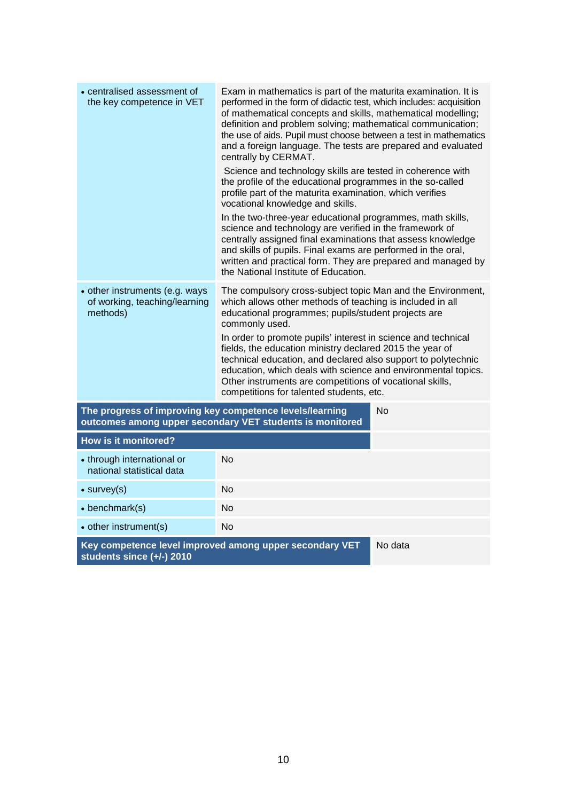<span id="page-8-0"></span>

| • centralised assessment of<br>the key competence in VET                             | Exam in mathematics is part of the maturita examination. It is<br>performed in the form of didactic test, which includes: acquisition<br>of mathematical concepts and skills, mathematical modelling;<br>definition and problem solving; mathematical communication;<br>the use of aids. Pupil must choose between a test in mathematics<br>and a foreign language. The tests are prepared and evaluated<br>centrally by CERMAT.<br>Science and technology skills are tested in coherence with<br>the profile of the educational programmes in the so-called<br>profile part of the maturita examination, which verifies<br>vocational knowledge and skills.<br>In the two-three-year educational programmes, math skills,<br>science and technology are verified in the framework of<br>centrally assigned final examinations that assess knowledge<br>and skills of pupils. Final exams are performed in the oral, |         |
|--------------------------------------------------------------------------------------|----------------------------------------------------------------------------------------------------------------------------------------------------------------------------------------------------------------------------------------------------------------------------------------------------------------------------------------------------------------------------------------------------------------------------------------------------------------------------------------------------------------------------------------------------------------------------------------------------------------------------------------------------------------------------------------------------------------------------------------------------------------------------------------------------------------------------------------------------------------------------------------------------------------------|---------|
|                                                                                      | written and practical form. They are prepared and managed by<br>the National Institute of Education.                                                                                                                                                                                                                                                                                                                                                                                                                                                                                                                                                                                                                                                                                                                                                                                                                 |         |
| • other instruments (e.g. ways<br>of working, teaching/learning<br>methods)          | The compulsory cross-subject topic Man and the Environment,<br>which allows other methods of teaching is included in all<br>educational programmes; pupils/student projects are<br>commonly used.<br>In order to promote pupils' interest in science and technical<br>fields, the education ministry declared 2015 the year of<br>technical education, and declared also support to polytechnic<br>education, which deals with science and environmental topics.<br>Other instruments are competitions of vocational skills,<br>competitions for talented students, etc.                                                                                                                                                                                                                                                                                                                                             |         |
| The progress of improving key competence levels/learning                             | outcomes among upper secondary VET students is monitored                                                                                                                                                                                                                                                                                                                                                                                                                                                                                                                                                                                                                                                                                                                                                                                                                                                             | No      |
| <b>How is it monitored?</b>                                                          |                                                                                                                                                                                                                                                                                                                                                                                                                                                                                                                                                                                                                                                                                                                                                                                                                                                                                                                      |         |
| • through international or<br>national statistical data                              | No                                                                                                                                                                                                                                                                                                                                                                                                                                                                                                                                                                                                                                                                                                                                                                                                                                                                                                                   |         |
| $\bullet$ survey(s)                                                                  | No                                                                                                                                                                                                                                                                                                                                                                                                                                                                                                                                                                                                                                                                                                                                                                                                                                                                                                                   |         |
| $\bullet$ benchmark(s)                                                               | <b>No</b>                                                                                                                                                                                                                                                                                                                                                                                                                                                                                                                                                                                                                                                                                                                                                                                                                                                                                                            |         |
| • other instrument(s)                                                                | <b>No</b>                                                                                                                                                                                                                                                                                                                                                                                                                                                                                                                                                                                                                                                                                                                                                                                                                                                                                                            |         |
| Key competence level improved among upper secondary VET<br>students since (+/-) 2010 |                                                                                                                                                                                                                                                                                                                                                                                                                                                                                                                                                                                                                                                                                                                                                                                                                                                                                                                      | No data |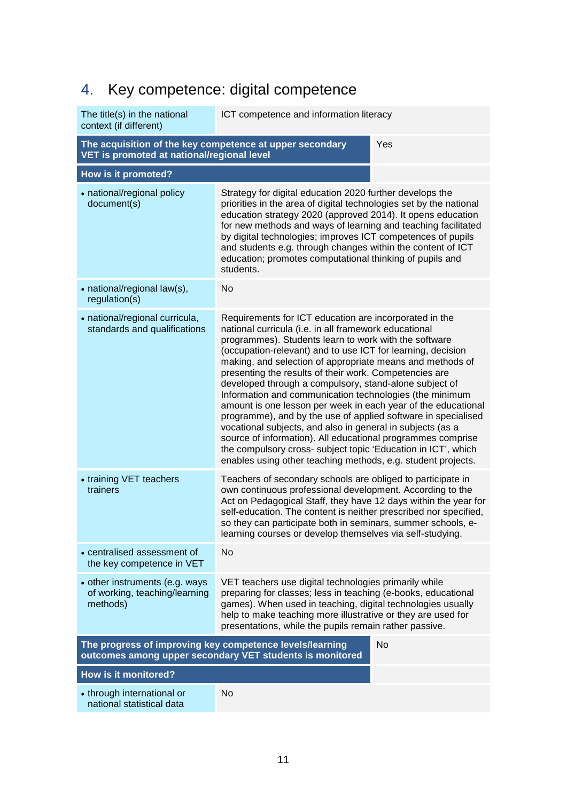# 4. Key competence: digital competence

| The title(s) in the national<br>context (if different)                                                        | ICT competence and information literacy                                                                                                                                                                                                                                                                                                                                                                                                                                                                                                                                                                                                                                                                                                                                                                                                                                             |  |
|---------------------------------------------------------------------------------------------------------------|-------------------------------------------------------------------------------------------------------------------------------------------------------------------------------------------------------------------------------------------------------------------------------------------------------------------------------------------------------------------------------------------------------------------------------------------------------------------------------------------------------------------------------------------------------------------------------------------------------------------------------------------------------------------------------------------------------------------------------------------------------------------------------------------------------------------------------------------------------------------------------------|--|
| Yes<br>The acquisition of the key competence at upper secondary<br>VET is promoted at national/regional level |                                                                                                                                                                                                                                                                                                                                                                                                                                                                                                                                                                                                                                                                                                                                                                                                                                                                                     |  |
| How is it promoted?                                                                                           |                                                                                                                                                                                                                                                                                                                                                                                                                                                                                                                                                                                                                                                                                                                                                                                                                                                                                     |  |
| • national/regional policy<br>document(s)                                                                     | Strategy for digital education 2020 further develops the<br>priorities in the area of digital technologies set by the national<br>education strategy 2020 (approved 2014). It opens education<br>for new methods and ways of learning and teaching facilitated<br>by digital technologies; improves ICT competences of pupils<br>and students e.g. through changes within the content of ICT<br>education; promotes computational thinking of pupils and<br>students.                                                                                                                                                                                                                                                                                                                                                                                                               |  |
| • national/regional law(s),<br>regulation(s)                                                                  | No                                                                                                                                                                                                                                                                                                                                                                                                                                                                                                                                                                                                                                                                                                                                                                                                                                                                                  |  |
| • national/regional curricula,<br>standards and qualifications                                                | Requirements for ICT education are incorporated in the<br>national curricula (i.e. in all framework educational<br>programmes). Students learn to work with the software<br>(occupation-relevant) and to use ICT for learning, decision<br>making, and selection of appropriate means and methods of<br>presenting the results of their work. Competencies are<br>developed through a compulsory, stand-alone subject of<br>Information and communication technologies (the minimum<br>amount is one lesson per week in each year of the educational<br>programme), and by the use of applied software in specialised<br>vocational subjects, and also in general in subjects (as a<br>source of information). All educational programmes comprise<br>the compulsory cross- subject topic 'Education in ICT', which<br>enables using other teaching methods, e.g. student projects. |  |
| • training VET teachers<br>trainers                                                                           | Teachers of secondary schools are obliged to participate in<br>own continuous professional development. According to the<br>Act on Pedagogical Staff, they have 12 days within the year for<br>self-education. The content is neither prescribed nor specified,<br>so they can participate both in seminars, summer schools, e-<br>learning courses or develop themselves via self-studying                                                                                                                                                                                                                                                                                                                                                                                                                                                                                         |  |
| • centralised assessment of<br>the key competence in VET                                                      | No                                                                                                                                                                                                                                                                                                                                                                                                                                                                                                                                                                                                                                                                                                                                                                                                                                                                                  |  |
| • other instruments (e.g. ways<br>of working, teaching/learning<br>methods)                                   | VET teachers use digital technologies primarily while<br>preparing for classes; less in teaching (e-books, educational<br>games). When used in teaching, digital technologies usually<br>help to make teaching more illustrative or they are used for<br>presentations, while the pupils remain rather passive.                                                                                                                                                                                                                                                                                                                                                                                                                                                                                                                                                                     |  |
| The progress of improving key competence levels/learning                                                      | <b>No</b><br>outcomes among upper secondary VET students is monitored                                                                                                                                                                                                                                                                                                                                                                                                                                                                                                                                                                                                                                                                                                                                                                                                               |  |
| How is it monitored?                                                                                          |                                                                                                                                                                                                                                                                                                                                                                                                                                                                                                                                                                                                                                                                                                                                                                                                                                                                                     |  |
| • through international or<br>national statistical data                                                       | No                                                                                                                                                                                                                                                                                                                                                                                                                                                                                                                                                                                                                                                                                                                                                                                                                                                                                  |  |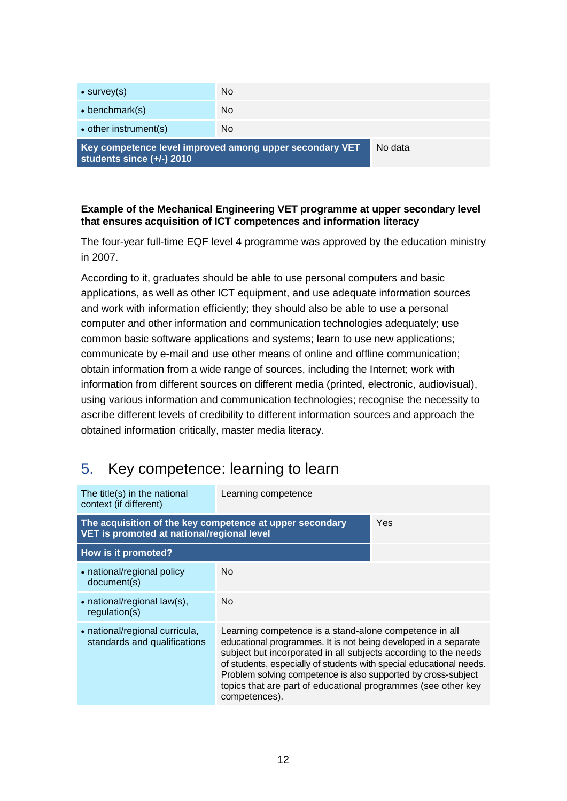| Key competence level improved among upper secondary VET<br>students since $(+/-)$ 2010 |     | No data |
|----------------------------------------------------------------------------------------|-----|---------|
| • other instrument(s)                                                                  | No. |         |
| $\bullet$ benchmark(s)                                                                 | No. |         |
| $\bullet$ survey(s)                                                                    | No. |         |
|                                                                                        |     |         |

#### **Example of the Mechanical Engineering VET programme at upper secondary level that ensures acquisition of ICT competences and information literacy**

The four-year full-time EQF level 4 programme was approved by the education ministry in 2007.

According to it, graduates should be able to use personal computers and basic applications, as well as other ICT equipment, and use adequate information sources and work with information efficiently; they should also be able to use a personal computer and other information and communication technologies adequately; use common basic software applications and systems; learn to use new applications; communicate by e-mail and use other means of online and offline communication; obtain information from a wide range of sources, including the Internet; work with information from different sources on different media (printed, electronic, audiovisual), using various information and communication technologies; recognise the necessity to ascribe different levels of credibility to different information sources and approach the obtained information critically, master media literacy.

## <span id="page-10-0"></span>5. Key competence: learning to learn

| The title(s) in the national<br>context (if different)                                                 | Learning competence                                                                                                                                                                                                                                                                                                                                                                                                    |  |
|--------------------------------------------------------------------------------------------------------|------------------------------------------------------------------------------------------------------------------------------------------------------------------------------------------------------------------------------------------------------------------------------------------------------------------------------------------------------------------------------------------------------------------------|--|
| The acquisition of the key competence at upper secondary<br>VET is promoted at national/regional level | Yes                                                                                                                                                                                                                                                                                                                                                                                                                    |  |
| How is it promoted?                                                                                    |                                                                                                                                                                                                                                                                                                                                                                                                                        |  |
| • national/regional policy<br>document(s)                                                              | No.                                                                                                                                                                                                                                                                                                                                                                                                                    |  |
| • national/regional law(s),<br>regulation(s)                                                           | No.                                                                                                                                                                                                                                                                                                                                                                                                                    |  |
| • national/regional curricula,<br>standards and qualifications                                         | Learning competence is a stand-alone competence in all<br>educational programmes. It is not being developed in a separate<br>subject but incorporated in all subjects according to the needs<br>of students, especially of students with special educational needs.<br>Problem solving competence is also supported by cross-subject<br>topics that are part of educational programmes (see other key<br>competences). |  |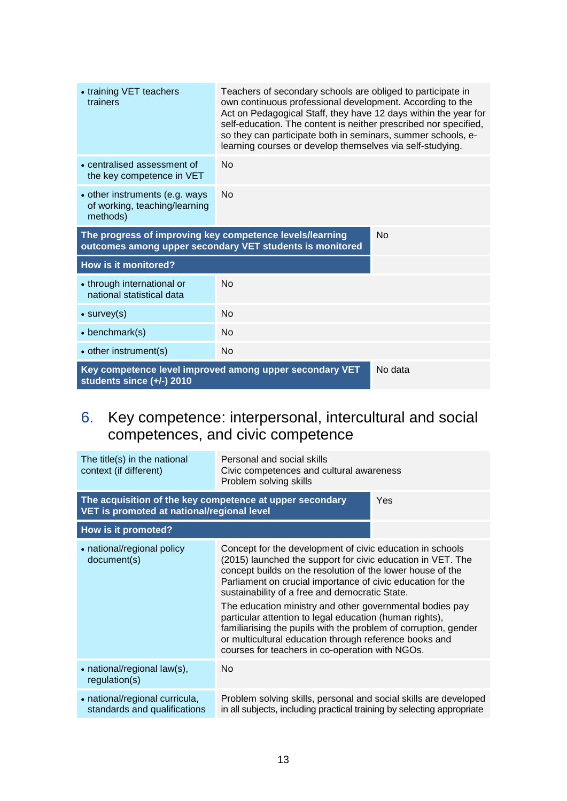| • training VET teachers<br>Teachers of secondary schools are obliged to participate in<br>own continuous professional development. According to the<br>trainers<br>Act on Pedagogical Staff, they have 12 days within the year for<br>self-education. The content is neither prescribed nor specified,<br>so they can participate both in seminars, summer schools, e-<br>learning courses or develop themselves via self-studying. |           |  |
|-------------------------------------------------------------------------------------------------------------------------------------------------------------------------------------------------------------------------------------------------------------------------------------------------------------------------------------------------------------------------------------------------------------------------------------|-----------|--|
| • centralised assessment of<br>the key competence in VET                                                                                                                                                                                                                                                                                                                                                                            | <b>No</b> |  |
| • other instruments (e.g. ways<br>of working, teaching/learning<br>methods)                                                                                                                                                                                                                                                                                                                                                         | <b>No</b> |  |
| The progress of improving key competence levels/learning<br>No<br>outcomes among upper secondary VET students is monitored                                                                                                                                                                                                                                                                                                          |           |  |
| How is it monitored?                                                                                                                                                                                                                                                                                                                                                                                                                |           |  |
| • through international or<br>national statistical data                                                                                                                                                                                                                                                                                                                                                                             | No        |  |
| $\bullet$ survey(s)                                                                                                                                                                                                                                                                                                                                                                                                                 | <b>No</b> |  |
| $\bullet$ benchmark(s)                                                                                                                                                                                                                                                                                                                                                                                                              | <b>No</b> |  |
| • other instrument(s)                                                                                                                                                                                                                                                                                                                                                                                                               | <b>No</b> |  |
| Key competence level improved among upper secondary VET<br>students since (+/-) 2010                                                                                                                                                                                                                                                                                                                                                | No data   |  |

# <span id="page-11-0"></span>6. Key competence: interpersonal, intercultural and social competences, and civic competence

| The title(s) in the national<br>context (if different)                                                 | Personal and social skills<br>Civic competences and cultural awareness<br>Problem solving skills                                                                                                                                                                                                                                                                                                                                                                                                                                                                                                               |  |
|--------------------------------------------------------------------------------------------------------|----------------------------------------------------------------------------------------------------------------------------------------------------------------------------------------------------------------------------------------------------------------------------------------------------------------------------------------------------------------------------------------------------------------------------------------------------------------------------------------------------------------------------------------------------------------------------------------------------------------|--|
| The acquisition of the key competence at upper secondary<br>VET is promoted at national/regional level | Yes                                                                                                                                                                                                                                                                                                                                                                                                                                                                                                                                                                                                            |  |
| How is it promoted?                                                                                    |                                                                                                                                                                                                                                                                                                                                                                                                                                                                                                                                                                                                                |  |
| • national/regional policy<br>document(s)                                                              | Concept for the development of civic education in schools<br>(2015) launched the support for civic education in VET. The<br>concept builds on the resolution of the lower house of the<br>Parliament on crucial importance of civic education for the<br>sustainability of a free and democratic State.<br>The education ministry and other governmental bodies pay<br>particular attention to legal education (human rights),<br>familiarising the pupils with the problem of corruption, gender<br>or multicultural education through reference books and<br>courses for teachers in co-operation with NGOs. |  |
| • national/regional law(s),<br>regulation(s)                                                           | No.                                                                                                                                                                                                                                                                                                                                                                                                                                                                                                                                                                                                            |  |
| • national/regional curricula,<br>standards and qualifications                                         | Problem solving skills, personal and social skills are developed<br>in all subjects, including practical training by selecting appropriate                                                                                                                                                                                                                                                                                                                                                                                                                                                                     |  |
|                                                                                                        |                                                                                                                                                                                                                                                                                                                                                                                                                                                                                                                                                                                                                |  |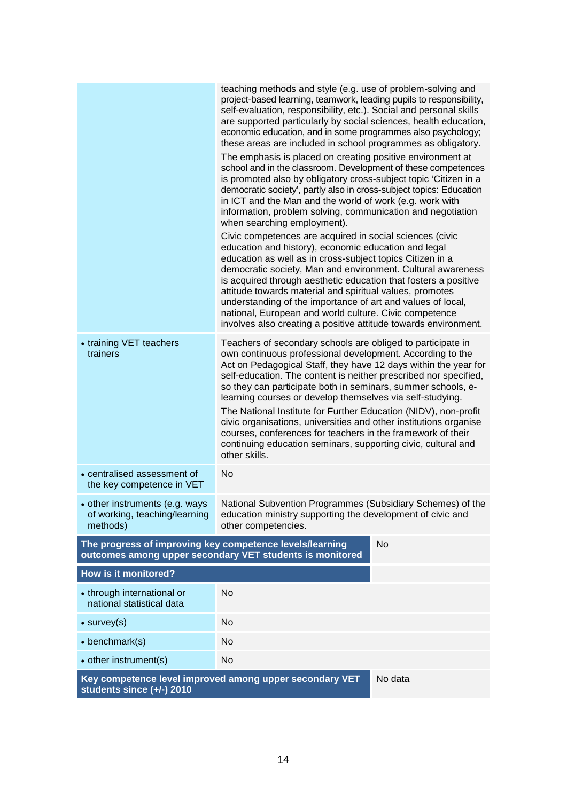|                                                                                                 | teaching methods and style (e.g. use of problem-solving and<br>project-based learning, teamwork, leading pupils to responsibility,<br>self-evaluation, responsibility, etc.). Social and personal skills<br>are supported particularly by social sciences, health education,<br>economic education, and in some programmes also psychology;<br>these areas are included in school programmes as obligatory.<br>The emphasis is placed on creating positive environment at<br>school and in the classroom. Development of these competences<br>is promoted also by obligatory cross-subject topic 'Citizen in a<br>democratic society', partly also in cross-subject topics: Education<br>in ICT and the Man and the world of work (e.g. work with<br>information, problem solving, communication and negotiation<br>when searching employment).<br>Civic competences are acquired in social sciences (civic<br>education and history), economic education and legal<br>education as well as in cross-subject topics Citizen in a<br>democratic society, Man and environment. Cultural awareness<br>is acquired through aesthetic education that fosters a positive<br>attitude towards material and spiritual values, promotes<br>understanding of the importance of art and values of local,<br>national, European and world culture. Civic competence<br>involves also creating a positive attitude towards environment. |  |  |
|-------------------------------------------------------------------------------------------------|----------------------------------------------------------------------------------------------------------------------------------------------------------------------------------------------------------------------------------------------------------------------------------------------------------------------------------------------------------------------------------------------------------------------------------------------------------------------------------------------------------------------------------------------------------------------------------------------------------------------------------------------------------------------------------------------------------------------------------------------------------------------------------------------------------------------------------------------------------------------------------------------------------------------------------------------------------------------------------------------------------------------------------------------------------------------------------------------------------------------------------------------------------------------------------------------------------------------------------------------------------------------------------------------------------------------------------------------------------------------------------------------------------------------------|--|--|
| • training VET teachers<br>trainers                                                             | Teachers of secondary schools are obliged to participate in<br>own continuous professional development. According to the<br>Act on Pedagogical Staff, they have 12 days within the year for<br>self-education. The content is neither prescribed nor specified,<br>so they can participate both in seminars, summer schools, e-<br>learning courses or develop themselves via self-studying.<br>The National Institute for Further Education (NIDV), non-profit<br>civic organisations, universities and other institutions organise<br>courses, conferences for teachers in the framework of their<br>continuing education seminars, supporting civic, cultural and<br>other skills.                                                                                                                                                                                                                                                                                                                                                                                                                                                                                                                                                                                                                                                                                                                                      |  |  |
| • centralised assessment of<br>the key competence in VET                                        | No                                                                                                                                                                                                                                                                                                                                                                                                                                                                                                                                                                                                                                                                                                                                                                                                                                                                                                                                                                                                                                                                                                                                                                                                                                                                                                                                                                                                                         |  |  |
| • other instruments (e.g. ways<br>of working, teaching/learning<br>methods)                     | National Subvention Programmes (Subsidiary Schemes) of the<br>education ministry supporting the development of civic and<br>other competencies.                                                                                                                                                                                                                                                                                                                                                                                                                                                                                                                                                                                                                                                                                                                                                                                                                                                                                                                                                                                                                                                                                                                                                                                                                                                                            |  |  |
| The progress of improving key competence levels/learning                                        | <b>No</b><br>outcomes among upper secondary VET students is monitored                                                                                                                                                                                                                                                                                                                                                                                                                                                                                                                                                                                                                                                                                                                                                                                                                                                                                                                                                                                                                                                                                                                                                                                                                                                                                                                                                      |  |  |
| <b>How is it monitored?</b>                                                                     |                                                                                                                                                                                                                                                                                                                                                                                                                                                                                                                                                                                                                                                                                                                                                                                                                                                                                                                                                                                                                                                                                                                                                                                                                                                                                                                                                                                                                            |  |  |
| • through international or<br>national statistical data                                         | No                                                                                                                                                                                                                                                                                                                                                                                                                                                                                                                                                                                                                                                                                                                                                                                                                                                                                                                                                                                                                                                                                                                                                                                                                                                                                                                                                                                                                         |  |  |
| $\bullet$ survey(s)                                                                             | <b>No</b>                                                                                                                                                                                                                                                                                                                                                                                                                                                                                                                                                                                                                                                                                                                                                                                                                                                                                                                                                                                                                                                                                                                                                                                                                                                                                                                                                                                                                  |  |  |
| $\bullet$ benchmark(s)                                                                          | <b>No</b>                                                                                                                                                                                                                                                                                                                                                                                                                                                                                                                                                                                                                                                                                                                                                                                                                                                                                                                                                                                                                                                                                                                                                                                                                                                                                                                                                                                                                  |  |  |
| • other instrument(s)                                                                           | <b>No</b>                                                                                                                                                                                                                                                                                                                                                                                                                                                                                                                                                                                                                                                                                                                                                                                                                                                                                                                                                                                                                                                                                                                                                                                                                                                                                                                                                                                                                  |  |  |
| Key competence level improved among upper secondary VET<br>No data<br>students since (+/-) 2010 |                                                                                                                                                                                                                                                                                                                                                                                                                                                                                                                                                                                                                                                                                                                                                                                                                                                                                                                                                                                                                                                                                                                                                                                                                                                                                                                                                                                                                            |  |  |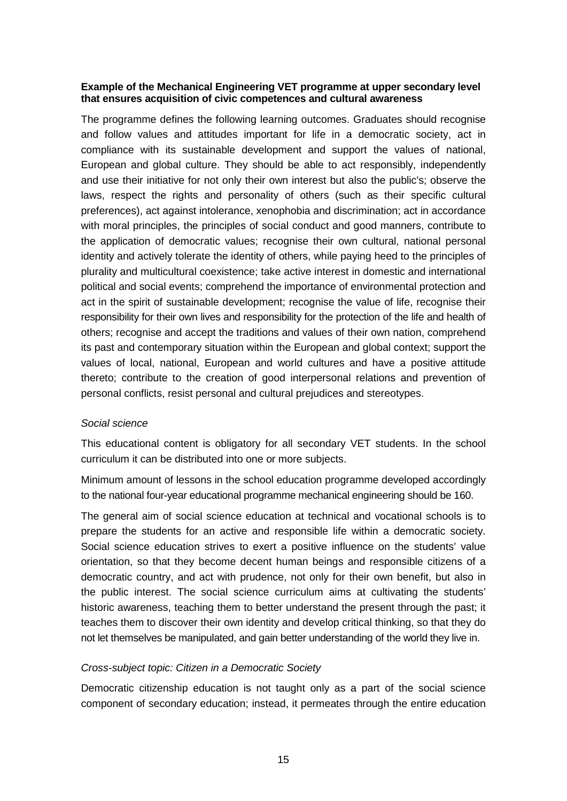#### **Example of the Mechanical Engineering VET programme at upper secondary level that ensures acquisition of civic competences and cultural awareness**

The programme defines the following learning outcomes. Graduates should recognise and follow values and attitudes important for life in a democratic society, act in compliance with its sustainable development and support the values of national, European and global culture. They should be able to act responsibly, independently and use their initiative for not only their own interest but also the public's; observe the laws, respect the rights and personality of others (such as their specific cultural preferences), act against intolerance, xenophobia and discrimination; act in accordance with moral principles, the principles of social conduct and good manners, contribute to the application of democratic values; recognise their own cultural, national personal identity and actively tolerate the identity of others, while paying heed to the principles of plurality and multicultural coexistence; take active interest in domestic and international political and social events; comprehend the importance of environmental protection and act in the spirit of sustainable development; recognise the value of life, recognise their responsibility for their own lives and responsibility for the protection of the life and health of others; recognise and accept the traditions and values of their own nation, comprehend its past and contemporary situation within the European and global context; support the values of local, national, European and world cultures and have a positive attitude thereto; contribute to the creation of good interpersonal relations and prevention of personal conflicts, resist personal and cultural prejudices and stereotypes.

#### *Social science*

This educational content is obligatory for all secondary VET students. In the school curriculum it can be distributed into one or more subjects.

Minimum amount of lessons in the school education programme developed accordingly to the national four-year educational programme mechanical engineering should be 160.

The general aim of social science education at technical and vocational schools is to prepare the students for an active and responsible life within a democratic society. Social science education strives to exert a positive influence on the students' value orientation, so that they become decent human beings and responsible citizens of a democratic country, and act with prudence, not only for their own benefit, but also in the public interest. The social science curriculum aims at cultivating the students' historic awareness, teaching them to better understand the present through the past; it teaches them to discover their own identity and develop critical thinking, so that they do not let themselves be manipulated, and gain better understanding of the world they live in.

#### *Cross-subject topic: Citizen in a Democratic Society*

Democratic citizenship education is not taught only as a part of the social science component of secondary education; instead, it permeates through the entire education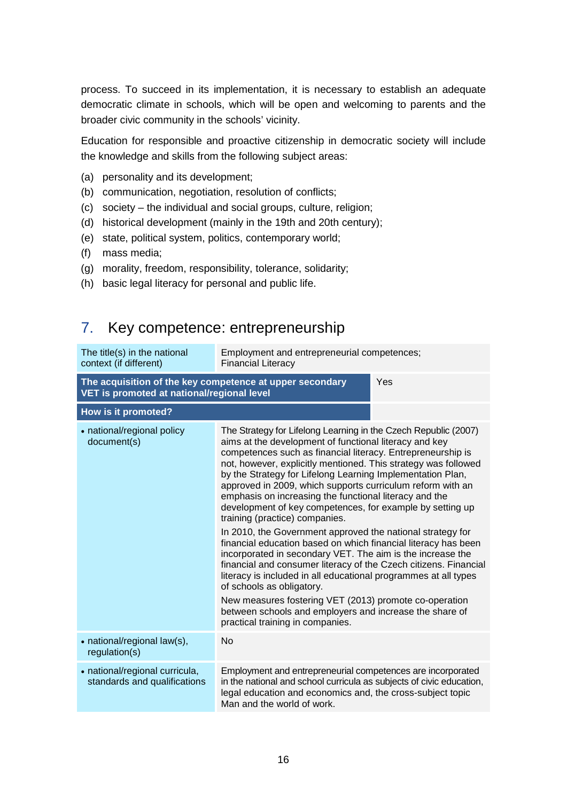process. To succeed in its implementation, it is necessary to establish an adequate democratic climate in schools, which will be open and welcoming to parents and the broader civic community in the schools' vicinity.

Education for responsible and proactive citizenship in democratic society will include the knowledge and skills from the following subject areas:

- (a) personality and its development;
- (b) communication, negotiation, resolution of conflicts;
- (c) society the individual and social groups, culture, religion;
- (d) historical development (mainly in the 19th and 20th century);
- (e) state, political system, politics, contemporary world;
- (f) mass media;
- (g) morality, freedom, responsibility, tolerance, solidarity;
- <span id="page-14-0"></span>(h) basic legal literacy for personal and public life.

### 7. Key competence: entrepreneurship

| The title(s) in the national<br>context (if different)                                                 | Employment and entrepreneurial competences;<br><b>Financial Literacy</b>                                                                                                                                                                                                                                                                                                                                                                                                                                                                                                                                                                                                                                                                                                                                                                                                                                                                                                                                                                                                   |     |
|--------------------------------------------------------------------------------------------------------|----------------------------------------------------------------------------------------------------------------------------------------------------------------------------------------------------------------------------------------------------------------------------------------------------------------------------------------------------------------------------------------------------------------------------------------------------------------------------------------------------------------------------------------------------------------------------------------------------------------------------------------------------------------------------------------------------------------------------------------------------------------------------------------------------------------------------------------------------------------------------------------------------------------------------------------------------------------------------------------------------------------------------------------------------------------------------|-----|
| The acquisition of the key competence at upper secondary<br>VET is promoted at national/regional level |                                                                                                                                                                                                                                                                                                                                                                                                                                                                                                                                                                                                                                                                                                                                                                                                                                                                                                                                                                                                                                                                            | Yes |
| How is it promoted?                                                                                    |                                                                                                                                                                                                                                                                                                                                                                                                                                                                                                                                                                                                                                                                                                                                                                                                                                                                                                                                                                                                                                                                            |     |
| • national/regional policy<br>document(s)                                                              | The Strategy for Lifelong Learning in the Czech Republic (2007)<br>aims at the development of functional literacy and key<br>competences such as financial literacy. Entrepreneurship is<br>not, however, explicitly mentioned. This strategy was followed<br>by the Strategy for Lifelong Learning Implementation Plan,<br>approved in 2009, which supports curriculum reform with an<br>emphasis on increasing the functional literacy and the<br>development of key competences, for example by setting up<br>training (practice) companies.<br>In 2010, the Government approved the national strategy for<br>financial education based on which financial literacy has been<br>incorporated in secondary VET. The aim is the increase the<br>financial and consumer literacy of the Czech citizens. Financial<br>literacy is included in all educational programmes at all types<br>of schools as obligatory.<br>New measures fostering VET (2013) promote co-operation<br>between schools and employers and increase the share of<br>practical training in companies. |     |
| • national/regional law(s),<br>regulation(s)                                                           | <b>No</b>                                                                                                                                                                                                                                                                                                                                                                                                                                                                                                                                                                                                                                                                                                                                                                                                                                                                                                                                                                                                                                                                  |     |
| • national/regional curricula,<br>standards and qualifications                                         | Employment and entrepreneurial competences are incorporated<br>in the national and school curricula as subjects of civic education,<br>legal education and economics and, the cross-subject topic<br>Man and the world of work.                                                                                                                                                                                                                                                                                                                                                                                                                                                                                                                                                                                                                                                                                                                                                                                                                                            |     |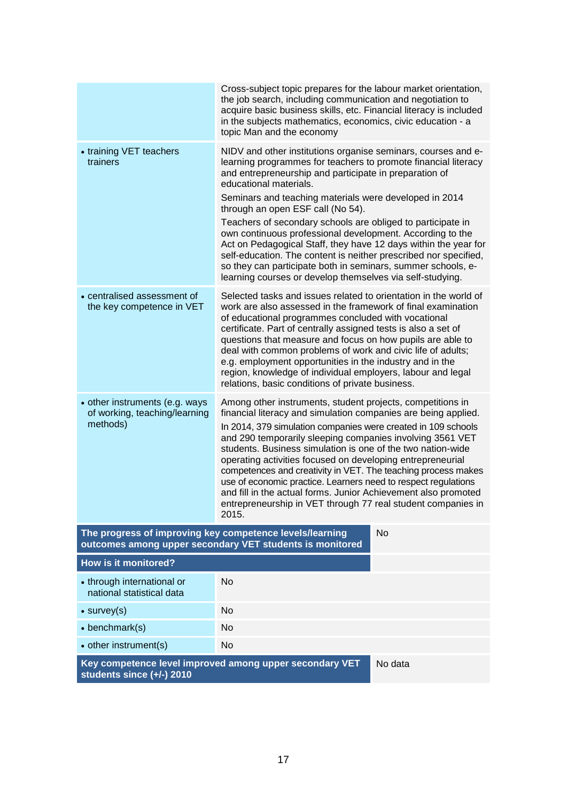|                                                                                                                                   | Cross-subject topic prepares for the labour market orientation,<br>the job search, including communication and negotiation to<br>acquire basic business skills, etc. Financial literacy is included<br>in the subjects mathematics, economics, civic education - a<br>topic Man and the economy                                                                                                                                                                                                                                                                                                                                                                                                                    |  |  |  |
|-----------------------------------------------------------------------------------------------------------------------------------|--------------------------------------------------------------------------------------------------------------------------------------------------------------------------------------------------------------------------------------------------------------------------------------------------------------------------------------------------------------------------------------------------------------------------------------------------------------------------------------------------------------------------------------------------------------------------------------------------------------------------------------------------------------------------------------------------------------------|--|--|--|
| • training VET teachers<br>trainers                                                                                               | NIDV and other institutions organise seminars, courses and e-<br>learning programmes for teachers to promote financial literacy<br>and entrepreneurship and participate in preparation of<br>educational materials.<br>Seminars and teaching materials were developed in 2014<br>through an open ESF call (No 54).<br>Teachers of secondary schools are obliged to participate in<br>own continuous professional development. According to the<br>Act on Pedagogical Staff, they have 12 days within the year for<br>self-education. The content is neither prescribed nor specified,<br>so they can participate both in seminars, summer schools, e-<br>learning courses or develop themselves via self-studying. |  |  |  |
| • centralised assessment of<br>the key competence in VET                                                                          | Selected tasks and issues related to orientation in the world of<br>work are also assessed in the framework of final examination<br>of educational programmes concluded with vocational<br>certificate. Part of centrally assigned tests is also a set of<br>questions that measure and focus on how pupils are able to<br>deal with common problems of work and civic life of adults;<br>e.g. employment opportunities in the industry and in the<br>region, knowledge of individual employers, labour and legal<br>relations, basic conditions of private business.                                                                                                                                              |  |  |  |
| • other instruments (e.g. ways<br>of working, teaching/learning<br>methods)                                                       | Among other instruments, student projects, competitions in<br>financial literacy and simulation companies are being applied.<br>In 2014, 379 simulation companies were created in 109 schools<br>and 290 temporarily sleeping companies involving 3561 VET<br>students. Business simulation is one of the two nation-wide<br>operating activities focused on developing entrepreneurial<br>competences and creativity in VET. The teaching process makes<br>use of economic practice. Learners need to respect regulations<br>and fill in the actual forms. Junior Achievement also promoted<br>entrepreneurship in VET through 77 real student companies in<br>2015.                                              |  |  |  |
| The progress of improving key competence levels/learning<br><b>No</b><br>outcomes among upper secondary VET students is monitored |                                                                                                                                                                                                                                                                                                                                                                                                                                                                                                                                                                                                                                                                                                                    |  |  |  |
| How is it monitored?                                                                                                              |                                                                                                                                                                                                                                                                                                                                                                                                                                                                                                                                                                                                                                                                                                                    |  |  |  |
| • through international or<br>national statistical data                                                                           | No                                                                                                                                                                                                                                                                                                                                                                                                                                                                                                                                                                                                                                                                                                                 |  |  |  |
| $\bullet$ survey(s)                                                                                                               | No                                                                                                                                                                                                                                                                                                                                                                                                                                                                                                                                                                                                                                                                                                                 |  |  |  |
| $\bullet$ benchmark(s)                                                                                                            | <b>No</b>                                                                                                                                                                                                                                                                                                                                                                                                                                                                                                                                                                                                                                                                                                          |  |  |  |
| • other instrument(s)                                                                                                             | No                                                                                                                                                                                                                                                                                                                                                                                                                                                                                                                                                                                                                                                                                                                 |  |  |  |
| Key competence level improved among upper secondary VET<br>No data<br>students since (+/-) 2010                                   |                                                                                                                                                                                                                                                                                                                                                                                                                                                                                                                                                                                                                                                                                                                    |  |  |  |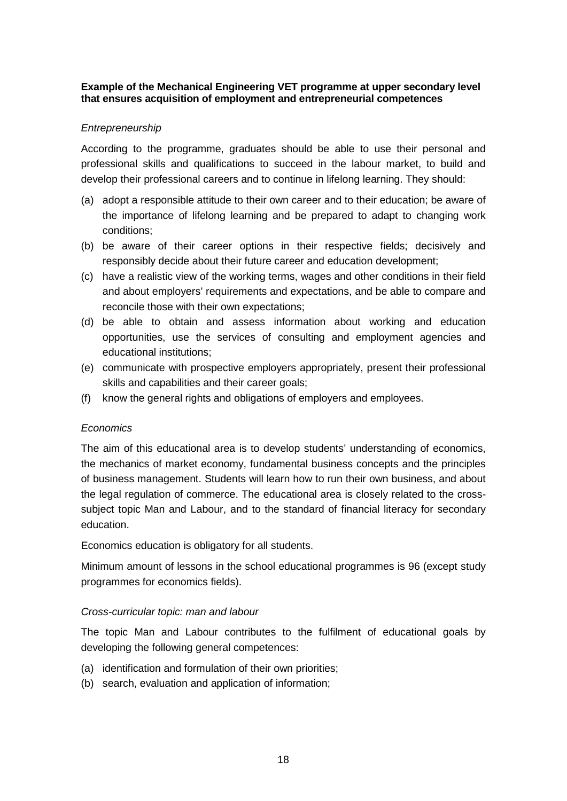#### **Example of the Mechanical Engineering VET programme at upper secondary level that ensures acquisition of employment and entrepreneurial competences**

#### *Entrepreneurship*

According to the programme, graduates should be able to use their personal and professional skills and qualifications to succeed in the labour market, to build and develop their professional careers and to continue in lifelong learning. They should:

- (a) adopt a responsible attitude to their own career and to their education; be aware of the importance of lifelong learning and be prepared to adapt to changing work conditions;
- (b) be aware of their career options in their respective fields; decisively and responsibly decide about their future career and education development;
- (c) have a realistic view of the working terms, wages and other conditions in their field and about employers' requirements and expectations, and be able to compare and reconcile those with their own expectations;
- (d) be able to obtain and assess information about working and education opportunities, use the services of consulting and employment agencies and educational institutions;
- (e) communicate with prospective employers appropriately, present their professional skills and capabilities and their career goals;
- (f) know the general rights and obligations of employers and employees.

#### *Economics*

The aim of this educational area is to develop students' understanding of economics, the mechanics of market economy, fundamental business concepts and the principles of business management. Students will learn how to run their own business, and about the legal regulation of commerce. The educational area is closely related to the crosssubject topic Man and Labour, and to the standard of financial literacy for secondary education.

Economics education is obligatory for all students.

Minimum amount of lessons in the school educational programmes is 96 (except study programmes for economics fields).

#### *Cross-curricular topic: man and labour*

The topic Man and Labour contributes to the fulfilment of educational goals by developing the following general competences:

- (a) identification and formulation of their own priorities;
- (b) search, evaluation and application of information;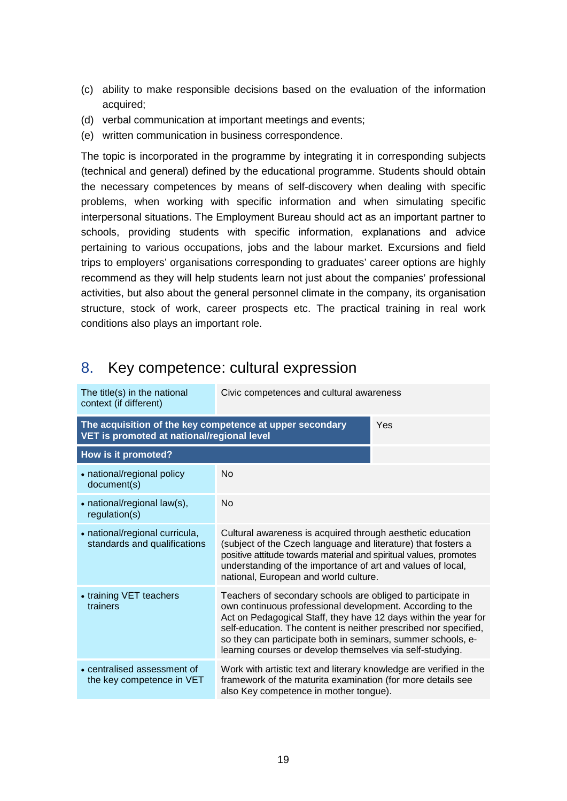- (c) ability to make responsible decisions based on the evaluation of the information acquired;
- (d) verbal communication at important meetings and events;
- (e) written communication in business correspondence.

The topic is incorporated in the programme by integrating it in corresponding subjects (technical and general) defined by the educational programme. Students should obtain the necessary competences by means of self-discovery when dealing with specific problems, when working with specific information and when simulating specific interpersonal situations. The Employment Bureau should act as an important partner to schools, providing students with specific information, explanations and advice pertaining to various occupations, jobs and the labour market. Excursions and field trips to employers' organisations corresponding to graduates' career options are highly recommend as they will help students learn not just about the companies' professional activities, but also about the general personnel climate in the company, its organisation structure, stock of work, career prospects etc. The practical training in real work conditions also plays an important role.

## <span id="page-17-0"></span>8. Key competence: cultural expression

| The title(s) in the national<br>context (if different)                                                        | Civic competences and cultural awareness                                                                                                                                                                                                                                                                                                                                                     |  |  |  |
|---------------------------------------------------------------------------------------------------------------|----------------------------------------------------------------------------------------------------------------------------------------------------------------------------------------------------------------------------------------------------------------------------------------------------------------------------------------------------------------------------------------------|--|--|--|
| The acquisition of the key competence at upper secondary<br>Yes<br>VET is promoted at national/regional level |                                                                                                                                                                                                                                                                                                                                                                                              |  |  |  |
| How is it promoted?                                                                                           |                                                                                                                                                                                                                                                                                                                                                                                              |  |  |  |
| • national/regional policy<br>document(s)                                                                     | <b>No</b>                                                                                                                                                                                                                                                                                                                                                                                    |  |  |  |
| • national/regional law(s),<br>regulation(s)                                                                  | No                                                                                                                                                                                                                                                                                                                                                                                           |  |  |  |
| • national/regional curricula,<br>standards and qualifications                                                | Cultural awareness is acquired through aesthetic education<br>(subject of the Czech language and literature) that fosters a<br>positive attitude towards material and spiritual values, promotes<br>understanding of the importance of art and values of local,<br>national, European and world culture.                                                                                     |  |  |  |
| • training VET teachers<br>trainers                                                                           | Teachers of secondary schools are obliged to participate in<br>own continuous professional development. According to the<br>Act on Pedagogical Staff, they have 12 days within the year for<br>self-education. The content is neither prescribed nor specified,<br>so they can participate both in seminars, summer schools, e-<br>learning courses or develop themselves via self-studying. |  |  |  |
| • centralised assessment of<br>the key competence in VET                                                      | Work with artistic text and literary knowledge are verified in the<br>framework of the maturita examination (for more details see<br>also Key competence in mother tongue).                                                                                                                                                                                                                  |  |  |  |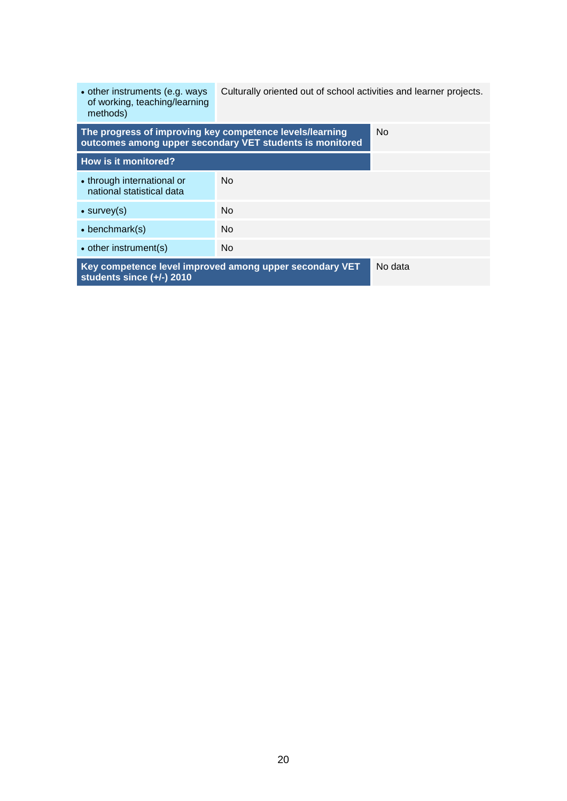<span id="page-18-0"></span>

| • other instruments (e.g. ways<br>of working, teaching/learning<br>methods)                                          | Culturally oriented out of school activities and learner projects. |  |
|----------------------------------------------------------------------------------------------------------------------|--------------------------------------------------------------------|--|
| The progress of improving key competence levels/learning<br>outcomes among upper secondary VET students is monitored | No.                                                                |  |
| How is it monitored?                                                                                                 |                                                                    |  |
| • through international or<br>national statistical data                                                              | No.                                                                |  |
| $\bullet$ survey(s)                                                                                                  | No.                                                                |  |
| $\bullet$ benchmark(s)                                                                                               | No.                                                                |  |
| • other instrument(s)                                                                                                | No.                                                                |  |
| Key competence level improved among upper secondary VET<br>students since (+/-) 2010                                 | No data                                                            |  |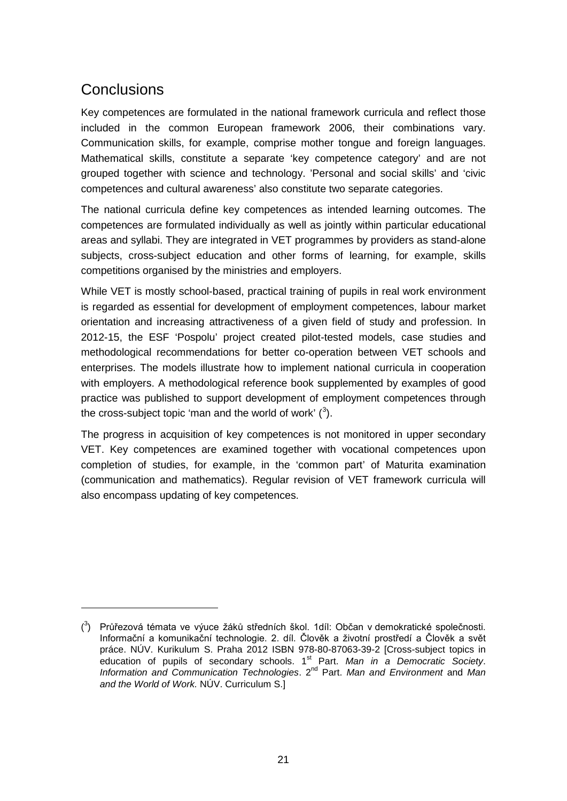## **Conclusions**

<u>.</u>

Key competences are formulated in the national framework curricula and reflect those included in the common European framework 2006, their combinations vary. Communication skills, for example, comprise mother tongue and foreign languages. Mathematical skills, constitute a separate 'key competence category' and are not grouped together with science and technology. 'Personal and social skills' and 'civic competences and cultural awareness' also constitute two separate categories.

The national curricula define key competences as intended learning outcomes. The competences are formulated individually as well as jointly within particular educational areas and syllabi. They are integrated in VET programmes by providers as stand-alone subjects, cross-subject education and other forms of learning, for example, skills competitions organised by the ministries and employers.

While VET is mostly school-based, practical training of pupils in real work environment is regarded as essential for development of employment competences, labour market orientation and increasing attractiveness of a given field of study and profession. In 2012-15, the ESF 'Pospolu' project created pilot-tested models, case studies and methodological recommendations for better co-operation between VET schools and enterprises. The models illustrate how to implement national curricula in cooperation with employers. A methodological reference book supplemented by examples of good practice was published to support development of employment competences through the cross-subject topic 'man and the world of work'  $(3)$  $(3)$  $(3)$ .

<span id="page-19-0"></span>The progress in acquisition of key competences is not monitored in upper secondary VET. Key competences are examined together with vocational competences upon completion of studies, for example, in the 'common part' of Maturita examination (communication and mathematics). Regular revision of VET framework curricula will also encompass updating of key competences.

<span id="page-19-1"></span> $(3)$  Průřezová témata ve výuce žáků středních škol. 1díl: Občan v demokratické společnosti. Informační a komunikační technologie. 2. díl. Člověk a životní prostředí a Člověk a svět práce. NÚV. Kurikulum S. Praha 2012 ISBN 978-80-87063-39-2 [Cross-subject topics in education of pupils of secondary schools. 1<sup>st</sup> Part. *Man in a Democratic Society*. *Information and Communication Technologies.* 2<sup>nd</sup> Part. *Man and Environment* and *Man and the World of Work.* NÚV. Curriculum S.]